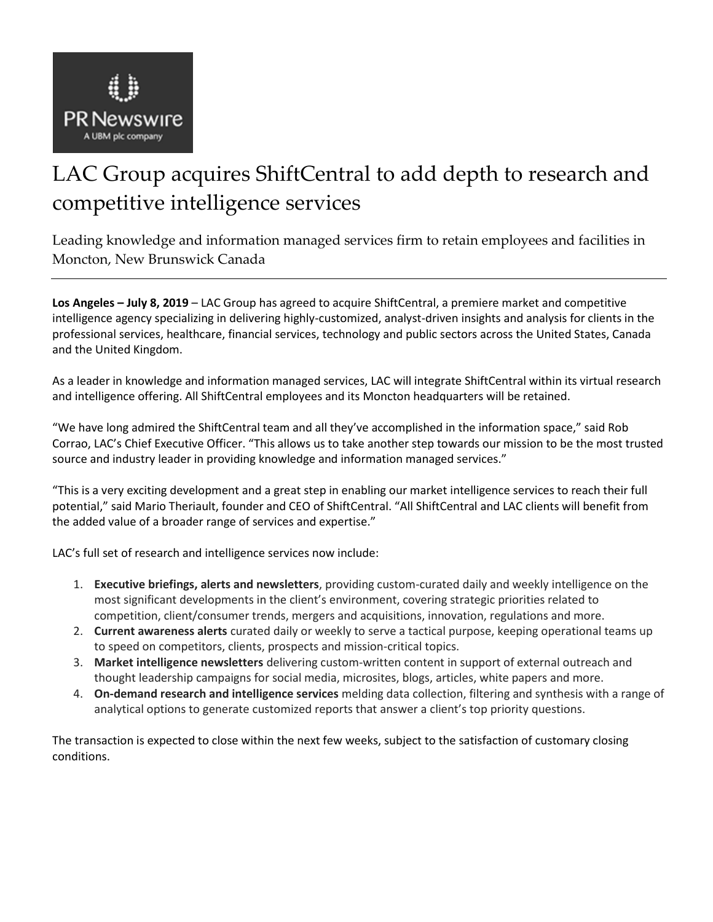

# LAC Group acquires ShiftCentral to add depth to research and competitive intelligence services

Leading knowledge and information managed services firm to retain employees and facilities in Moncton, New Brunswick Canada

**Los Angeles – July 8, 2019** – LAC Group has agreed to acquire ShiftCentral, a premiere market and competitive intelligence agency specializing in delivering highly-customized, analyst-driven insights and analysis for clients in the professional services, healthcare, financial services, technology and public sectors across the United States, Canada and the United Kingdom.

As a leader in knowledge and information managed services, LAC will integrate ShiftCentral within its virtual research and intelligence offering. All ShiftCentral employees and its Moncton headquarters will be retained.

"We have long admired the ShiftCentral team and all they've accomplished in the information space," said Rob Corrao, LAC's Chief Executive Officer. "This allows us to take another step towards our mission to be the most trusted source and industry leader in providing knowledge and information managed services."

"This is a very exciting development and a great step in enabling our market intelligence services to reach their full potential," said Mario Theriault, founder and CEO of ShiftCentral. "All ShiftCentral and LAC clients will benefit from the added value of a broader range of services and expertise."

LAC's full set of research and intelligence services now include:

- 1. **Executive briefings, alerts and newsletters**, providing custom-curated daily and weekly intelligence on the most significant developments in the client's environment, covering strategic priorities related to competition, client/consumer trends, mergers and acquisitions, innovation, regulations and more.
- 2. **Current awareness alerts** curated daily or weekly to serve a tactical purpose, keeping operational teams up to speed on competitors, clients, prospects and mission-critical topics.
- 3. **Market intelligence newsletters** delivering custom-written content in support of external outreach and thought leadership campaigns for social media, microsites, blogs, articles, white papers and more.
- 4. **On-demand research and intelligence services** melding data collection, filtering and synthesis with a range of analytical options to generate customized reports that answer a client's top priority questions.

The transaction is expected to close within the next few weeks, subject to the satisfaction of customary closing conditions.